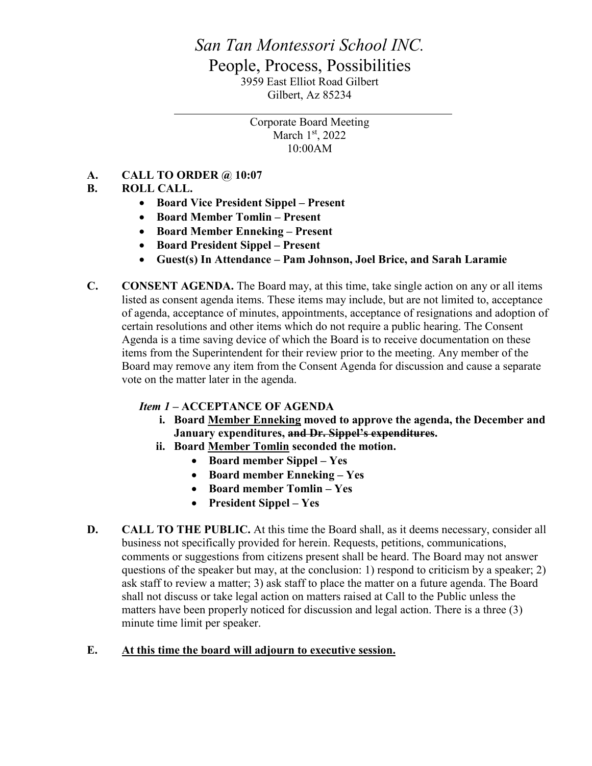# *San Tan Montessori School INC.* People, Process, Possibilities 3959 East Elliot Road Gilbert Gilbert, Az 85234

Corporate Board Meeting March  $1<sup>st</sup>$ , 2022 10:00AM

### **A. CALL TO ORDER @ 10:07**

## **B. ROLL CALL.**

- **Board Vice President Sippel – Present**
- **Board Member Tomlin – Present**
- **Board Member Enneking – Present**
- **Board President Sippel – Present**
- **Guest(s) In Attendance – Pam Johnson, Joel Brice, and Sarah Laramie**
- **C. CONSENT AGENDA.** The Board may, at this time, take single action on any or all items listed as consent agenda items. These items may include, but are not limited to, acceptance of agenda, acceptance of minutes, appointments, acceptance of resignations and adoption of certain resolutions and other items which do not require a public hearing. The Consent Agenda is a time saving device of which the Board is to receive documentation on these items from the Superintendent for their review prior to the meeting. Any member of the Board may remove any item from the Consent Agenda for discussion and cause a separate vote on the matter later in the agenda.

### *Item 1 –* **ACCEPTANCE OF AGENDA**

- **i. Board Member Enneking moved to approve the agenda, the December and January expenditures, and Dr. Sippel's expenditures.**
- **ii. Board Member Tomlin seconded the motion.**
	- **Board member Sippel – Yes**
	- **Board member Enneking – Yes**
	- **Board member Tomlin – Yes**
	- **President Sippel – Yes**
- **D. CALL TO THE PUBLIC.** At this time the Board shall, as it deems necessary, consider all business not specifically provided for herein. Requests, petitions, communications, comments or suggestions from citizens present shall be heard. The Board may not answer questions of the speaker but may, at the conclusion: 1) respond to criticism by a speaker; 2) ask staff to review a matter; 3) ask staff to place the matter on a future agenda. The Board shall not discuss or take legal action on matters raised at Call to the Public unless the matters have been properly noticed for discussion and legal action. There is a three (3) minute time limit per speaker.

### **E. At this time the board will adjourn to executive session.**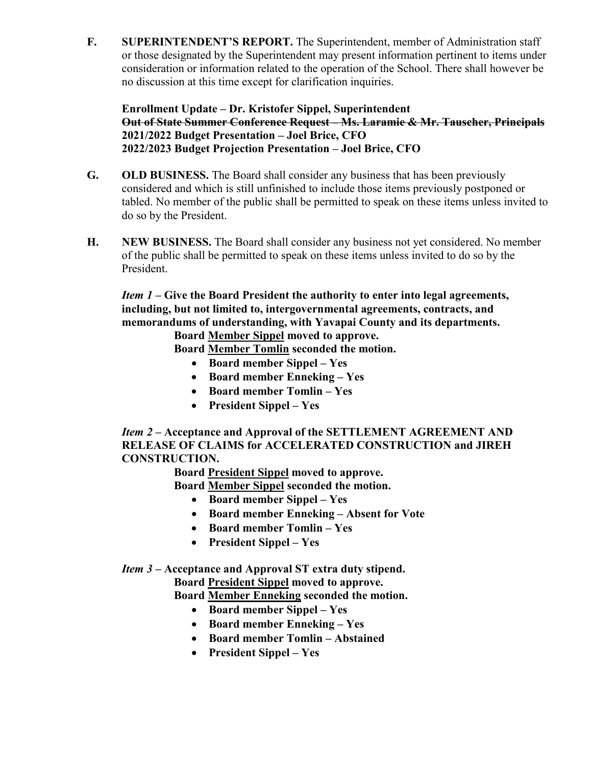**F. SUPERINTENDENT'S REPORT.** The Superintendent, member of Administration staff or those designated by the Superintendent may present information pertinent to items under consideration or information related to the operation of the School. There shall however be no discussion at this time except for clarification inquiries.

**Enrollment Update – Dr. Kristofer Sippel, Superintendent Out of State Summer Conference Request – Ms. Laramie & Mr. Tauscher, Principals 2021/2022 Budget Presentation – Joel Brice, CFO 2022/2023 Budget Projection Presentation – Joel Brice, CFO**

- **G. OLD BUSINESS.** The Board shall consider any business that has been previously considered and which is still unfinished to include those items previously postponed or tabled. No member of the public shall be permitted to speak on these items unless invited to do so by the President.
- **H. NEW BUSINESS.** The Board shall consider any business not yet considered. No member of the public shall be permitted to speak on these items unless invited to do so by the President.

*Item 1 –* **Give the Board President the authority to enter into legal agreements, including, but not limited to, intergovernmental agreements, contracts, and memorandums of understanding, with Yavapai County and its departments.**

**Board Member Sippel moved to approve.**

**Board Member Tomlin seconded the motion.**

- **Board member Sippel – Yes**
- **Board member Enneking – Yes**
- **Board member Tomlin – Yes**
- **President Sippel – Yes**

*Item 2 –* **Acceptance and Approval of the SETTLEMENT AGREEMENT AND RELEASE OF CLAIMS for ACCELERATED CONSTRUCTION and JIREH CONSTRUCTION.**

**Board President Sippel moved to approve.**

**Board Member Sippel seconded the motion.**

- **Board member Sippel – Yes**
- **Board member Enneking – Absent for Vote**
- **Board member Tomlin – Yes**
- **President Sippel – Yes**

### *Item 3 –* **Acceptance and Approval ST extra duty stipend.**

**Board President Sippel moved to approve.**

**Board Member Enneking seconded the motion.**

- **Board member Sippel – Yes**
- **Board member Enneking – Yes**
- **Board member Tomlin – Abstained**
- **President Sippel – Yes**